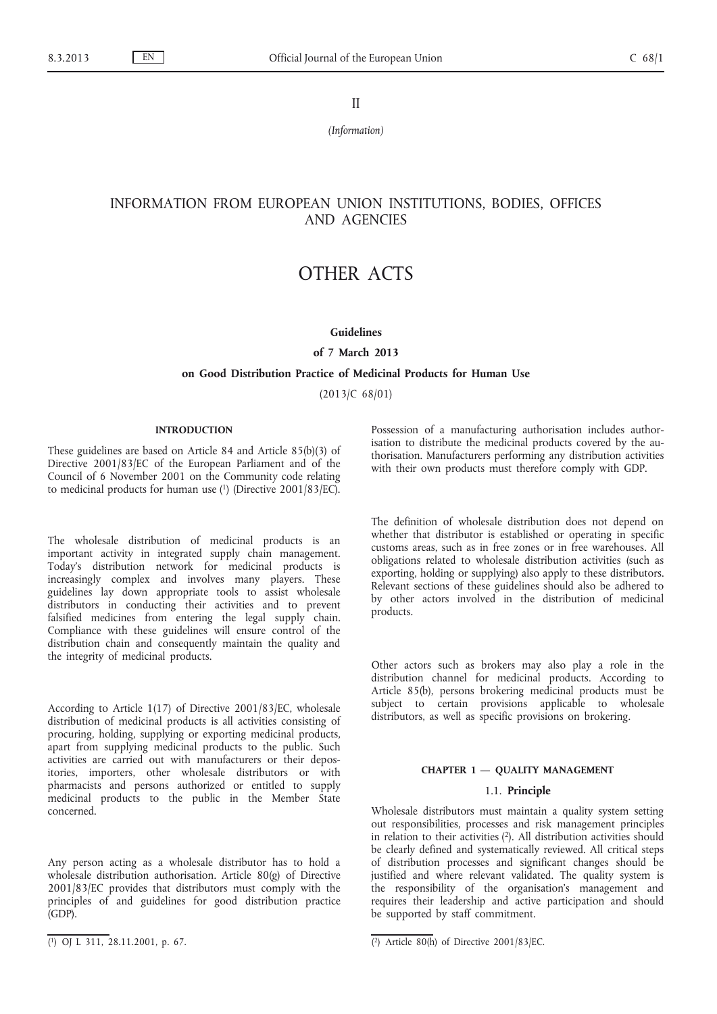II

*(Information)*

# INFORMATION FROM EUROPEAN UNION INSTITUTIONS, BODIES, OFFICES AND AGENCIES

# OTHER ACTS

#### **Guidelines**

# **of 7 March 2013**

## **on Good Distribution Practice of Medicinal Products for Human Use**

(2013/C 68/01)

# **INTRODUCTION**

These guidelines are based on Article 84 and Article 85(b)(3) of Directive 2001/83/EC of the European Parliament and of the Council of 6 November 2001 on the Community code relating to medicinal products for human use  $(1)$  (Directive 2001/83/EC).

The wholesale distribution of medicinal products is an important activity in integrated supply chain management. Today's distribution network for medicinal products is increasingly complex and involves many players. These guidelines lay down appropriate tools to assist wholesale distributors in conducting their activities and to prevent falsified medicines from entering the legal supply chain. Compliance with these guidelines will ensure control of the distribution chain and consequently maintain the quality and the integrity of medicinal products.

According to Article 1(17) of Directive 2001/83/EC, wholesale distribution of medicinal products is all activities consisting of procuring, holding, supplying or exporting medicinal products, apart from supplying medicinal products to the public. Such activities are carried out with manufacturers or their depositories, importers, other wholesale distributors or with pharmacists and persons authorized or entitled to supply medicinal products to the public in the Member State concerned.

Any person acting as a wholesale distributor has to hold a wholesale distribution authorisation. Article 80(g) of Directive 2001/83/EC provides that distributors must comply with the principles of and guidelines for good distribution practice  $(GDP)$ .

Possession of a manufacturing authorisation includes authorisation to distribute the medicinal products covered by the authorisation. Manufacturers performing any distribution activities with their own products must therefore comply with GDP.

The definition of wholesale distribution does not depend on whether that distributor is established or operating in specific customs areas, such as in free zones or in free warehouses. All obligations related to wholesale distribution activities (such as exporting, holding or supplying) also apply to these distributors. Relevant sections of these guidelines should also be adhered to by other actors involved in the distribution of medicinal products.

Other actors such as brokers may also play a role in the distribution channel for medicinal products. According to Article 85(b), persons brokering medicinal products must be subject to certain provisions applicable to wholesale distributors, as well as specific provisions on brokering.

# **CHAPTER 1 — QUALITY MANAGEMENT**

# 1.1. **Principle**

Wholesale distributors must maintain a quality system setting out responsibilities, processes and risk management principles in relation to their activities (2). All distribution activities should be clearly defined and systematically reviewed. All critical steps of distribution processes and significant changes should be justified and where relevant validated. The quality system is the responsibility of the organisation's management and requires their leadership and active participation and should be supported by staff commitment.

 $\overline{(^1)}$  OJ L 311, 28.11.2001, p. 67.

<sup>(2)</sup> Article 80(h) of Directive  $2001/83/EC$ .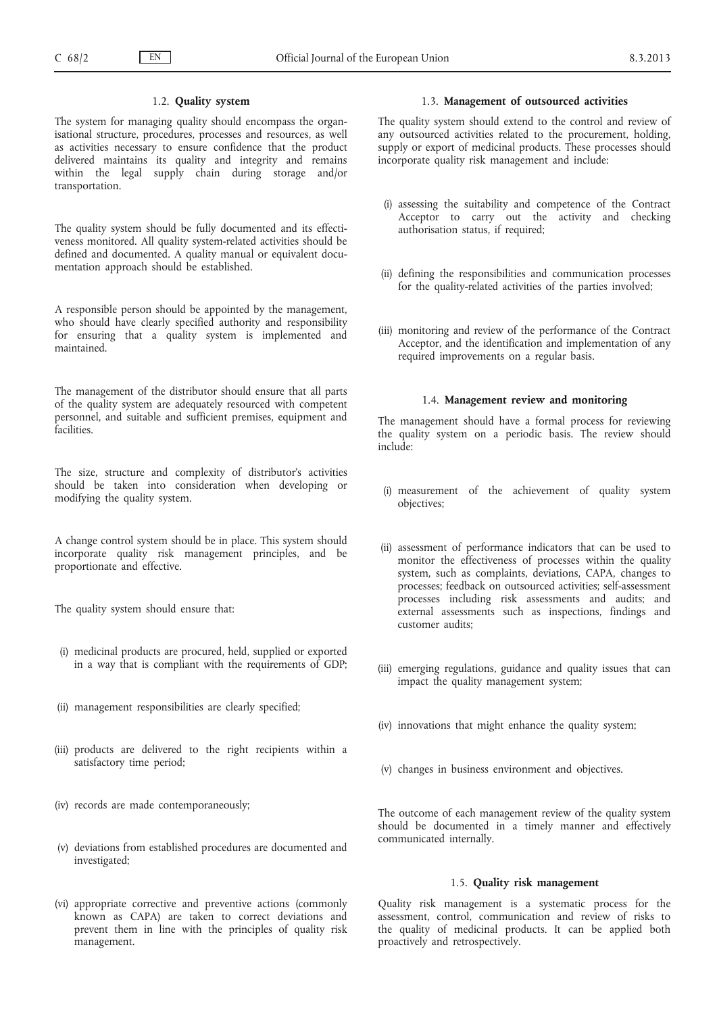# 1.2. **Quality system**

The system for managing quality should encompass the organisational structure, procedures, processes and resources, as well as activities necessary to ensure confidence that the product delivered maintains its quality and integrity and remains within the legal supply chain during storage and/or transportation.

The quality system should be fully documented and its effectiveness monitored. All quality system-related activities should be defined and documented. A quality manual or equivalent documentation approach should be established.

A responsible person should be appointed by the management, who should have clearly specified authority and responsibility for ensuring that a quality system is implemented and maintained.

The management of the distributor should ensure that all parts of the quality system are adequately resourced with competent personnel, and suitable and sufficient premises, equipment and facilities.

The size, structure and complexity of distributor's activities should be taken into consideration when developing or modifying the quality system.

A change control system should be in place. This system should incorporate quality risk management principles, and be proportionate and effective.

The quality system should ensure that:

- (i) medicinal products are procured, held, supplied or exported in a way that is compliant with the requirements of GDP;
- (ii) management responsibilities are clearly specified;
- (iii) products are delivered to the right recipients within a satisfactory time period;
- (iv) records are made contemporaneously;
- (v) deviations from established procedures are documented and investigated;
- (vi) appropriate corrective and preventive actions (commonly known as CAPA) are taken to correct deviations and prevent them in line with the principles of quality risk management.

# 1.3. **Management of outsourced activities**

The quality system should extend to the control and review of any outsourced activities related to the procurement, holding, supply or export of medicinal products. These processes should incorporate quality risk management and include:

- (i) assessing the suitability and competence of the Contract Acceptor to carry out the activity and checking authorisation status, if required;
- (ii) defining the responsibilities and communication processes for the quality-related activities of the parties involved;
- (iii) monitoring and review of the performance of the Contract Acceptor, and the identification and implementation of any required improvements on a regular basis.

#### 1.4. **Management review and monitoring**

The management should have a formal process for reviewing the quality system on a periodic basis. The review should include:

- (i) measurement of the achievement of quality system objectives;
- (ii) assessment of performance indicators that can be used to monitor the effectiveness of processes within the quality system, such as complaints, deviations, CAPA, changes to processes; feedback on outsourced activities; self-assessment processes including risk assessments and audits; and external assessments such as inspections, findings and customer audits;
- (iii) emerging regulations, guidance and quality issues that can impact the quality management system;
- (iv) innovations that might enhance the quality system;
- (v) changes in business environment and objectives.

The outcome of each management review of the quality system should be documented in a timely manner and effectively communicated internally.

#### 1.5. **Quality risk management**

Quality risk management is a systematic process for the assessment, control, communication and review of risks to the quality of medicinal products. It can be applied both proactively and retrospectively.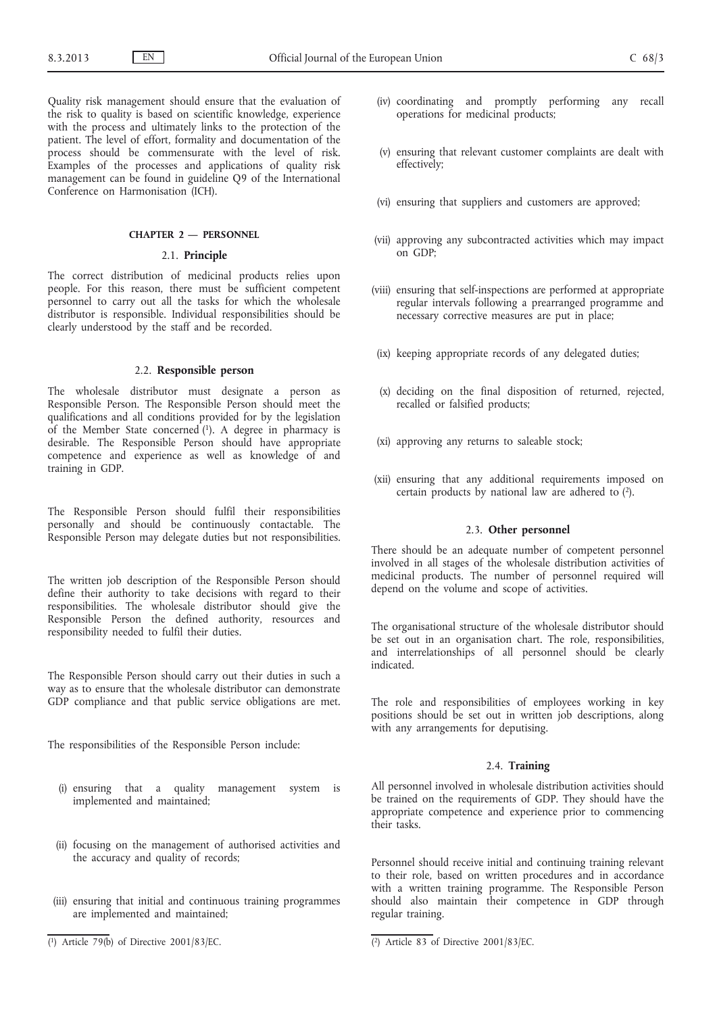Quality risk management should ensure that the evaluation of the risk to quality is based on scientific knowledge, experience with the process and ultimately links to the protection of the patient. The level of effort, formality and documentation of the process should be commensurate with the level of risk. Examples of the processes and applications of quality risk management can be found in guideline Q9 of the International Conference on Harmonisation (ICH).

# **CHAPTER 2 — PERSONNEL**

## 2.1. **Principle**

The correct distribution of medicinal products relies upon people. For this reason, there must be sufficient competent personnel to carry out all the tasks for which the wholesale distributor is responsible. Individual responsibilities should be clearly understood by the staff and be recorded.

#### 2.2. **Responsible person**

The wholesale distributor must designate a person as Responsible Person. The Responsible Person should meet the qualifications and all conditions provided for by the legislation of the Member State concerned  $(1)$ . A degree in pharmacy is desirable. The Responsible Person should have appropriate competence and experience as well as knowledge of and training in GDP.

The Responsible Person should fulfil their responsibilities personally and should be continuously contactable. The Responsible Person may delegate duties but not responsibilities.

The written job description of the Responsible Person should define their authority to take decisions with regard to their responsibilities. The wholesale distributor should give the Responsible Person the defined authority, resources and responsibility needed to fulfil their duties.

The Responsible Person should carry out their duties in such a way as to ensure that the wholesale distributor can demonstrate GDP compliance and that public service obligations are met.

The responsibilities of the Responsible Person include:

- (i) ensuring that a quality management system is implemented and maintained;
- (ii) focusing on the management of authorised activities and the accuracy and quality of records;
- (iii) ensuring that initial and continuous training programmes are implemented and maintained;
- (iv) coordinating and promptly performing any recall operations for medicinal products;
- (v) ensuring that relevant customer complaints are dealt with effectively;
- (vi) ensuring that suppliers and customers are approved;
- (vii) approving any subcontracted activities which may impact on GDP;
- (viii) ensuring that self-inspections are performed at appropriate regular intervals following a prearranged programme and necessary corrective measures are put in place;
- (ix) keeping appropriate records of any delegated duties;
- (x) deciding on the final disposition of returned, rejected, recalled or falsified products;
- (xi) approving any returns to saleable stock;
- (xii) ensuring that any additional requirements imposed on certain products by national law are adhered to  $(2)$ .

#### 2.3. **Other personnel**

There should be an adequate number of competent personnel involved in all stages of the wholesale distribution activities of medicinal products. The number of personnel required will depend on the volume and scope of activities.

The organisational structure of the wholesale distributor should be set out in an organisation chart. The role, responsibilities, and interrelationships of all personnel should be clearly indicated.

The role and responsibilities of employees working in key positions should be set out in written job descriptions, along with any arrangements for deputising.

#### 2.4. **Training**

All personnel involved in wholesale distribution activities should be trained on the requirements of GDP. They should have the appropriate competence and experience prior to commencing their tasks.

Personnel should receive initial and continuing training relevant to their role, based on written procedures and in accordance with a written training programme. The Responsible Person should also maintain their competence in GDP through regular training.

<sup>(</sup> 1) Article 79(b) of Directive 2001/83/EC. (2) Article 83 of Directive 2001/83/EC.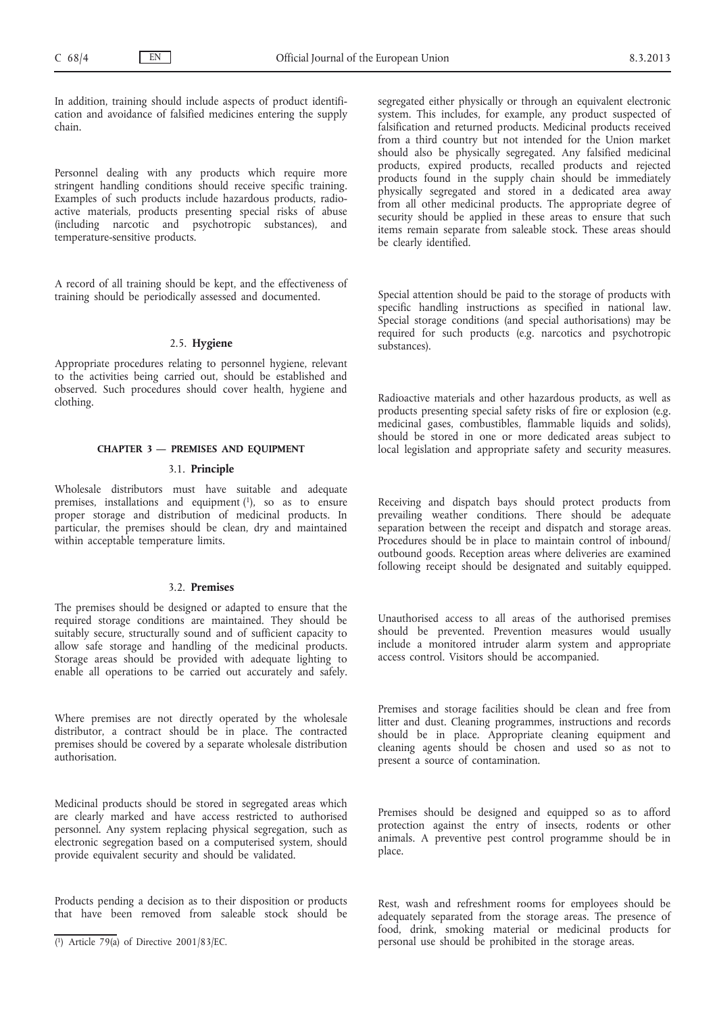In addition, training should include aspects of product identification and avoidance of falsified medicines entering the supply chain.

Personnel dealing with any products which require more stringent handling conditions should receive specific training. Examples of such products include hazardous products, radioactive materials, products presenting special risks of abuse (including narcotic and psychotropic substances), and temperature-sensitive products.

A record of all training should be kept, and the effectiveness of training should be periodically assessed and documented.

#### 2.5. **Hygiene**

Appropriate procedures relating to personnel hygiene, relevant to the activities being carried out, should be established and observed. Such procedures should cover health, hygiene and clothing.

#### **CHAPTER 3 — PREMISES AND EQUIPMENT**

#### 3.1. **Principle**

Wholesale distributors must have suitable and adequate premises, installations and equipment  $(1)$ , so as to ensure proper storage and distribution of medicinal products. In particular, the premises should be clean, dry and maintained within acceptable temperature limits.

## 3.2. **Premises**

The premises should be designed or adapted to ensure that the required storage conditions are maintained. They should be suitably secure, structurally sound and of sufficient capacity to allow safe storage and handling of the medicinal products. Storage areas should be provided with adequate lighting to enable all operations to be carried out accurately and safely.

Where premises are not directly operated by the wholesale distributor, a contract should be in place. The contracted premises should be covered by a separate wholesale distribution authorisation.

Medicinal products should be stored in segregated areas which are clearly marked and have access restricted to authorised personnel. Any system replacing physical segregation, such as electronic segregation based on a computerised system, should provide equivalent security and should be validated.

Products pending a decision as to their disposition or products that have been removed from saleable stock should be segregated either physically or through an equivalent electronic system. This includes, for example, any product suspected of falsification and returned products. Medicinal products received from a third country but not intended for the Union market should also be physically segregated. Any falsified medicinal products, expired products, recalled products and rejected products found in the supply chain should be immediately physically segregated and stored in a dedicated area away from all other medicinal products. The appropriate degree of security should be applied in these areas to ensure that such items remain separate from saleable stock. These areas should be clearly identified.

Special attention should be paid to the storage of products with specific handling instructions as specified in national law. Special storage conditions (and special authorisations) may be required for such products (e.g. narcotics and psychotropic substances).

Radioactive materials and other hazardous products, as well as products presenting special safety risks of fire or explosion (e.g. medicinal gases, combustibles, flammable liquids and solids), should be stored in one or more dedicated areas subject to local legislation and appropriate safety and security measures.

Receiving and dispatch bays should protect products from prevailing weather conditions. There should be adequate separation between the receipt and dispatch and storage areas. Procedures should be in place to maintain control of inbound/ outbound goods. Reception areas where deliveries are examined following receipt should be designated and suitably equipped.

Unauthorised access to all areas of the authorised premises should be prevented. Prevention measures would usually include a monitored intruder alarm system and appropriate access control. Visitors should be accompanied.

Premises and storage facilities should be clean and free from litter and dust. Cleaning programmes, instructions and records should be in place. Appropriate cleaning equipment and cleaning agents should be chosen and used so as not to present a source of contamination.

Premises should be designed and equipped so as to afford protection against the entry of insects, rodents or other animals. A preventive pest control programme should be in place.

Rest, wash and refreshment rooms for employees should be adequately separated from the storage areas. The presence of food, drink, smoking material or medicinal products for personal use should be prohibited in the storage areas.

<sup>(</sup> 1) Article 79(a) of Directive 2001/83/EC.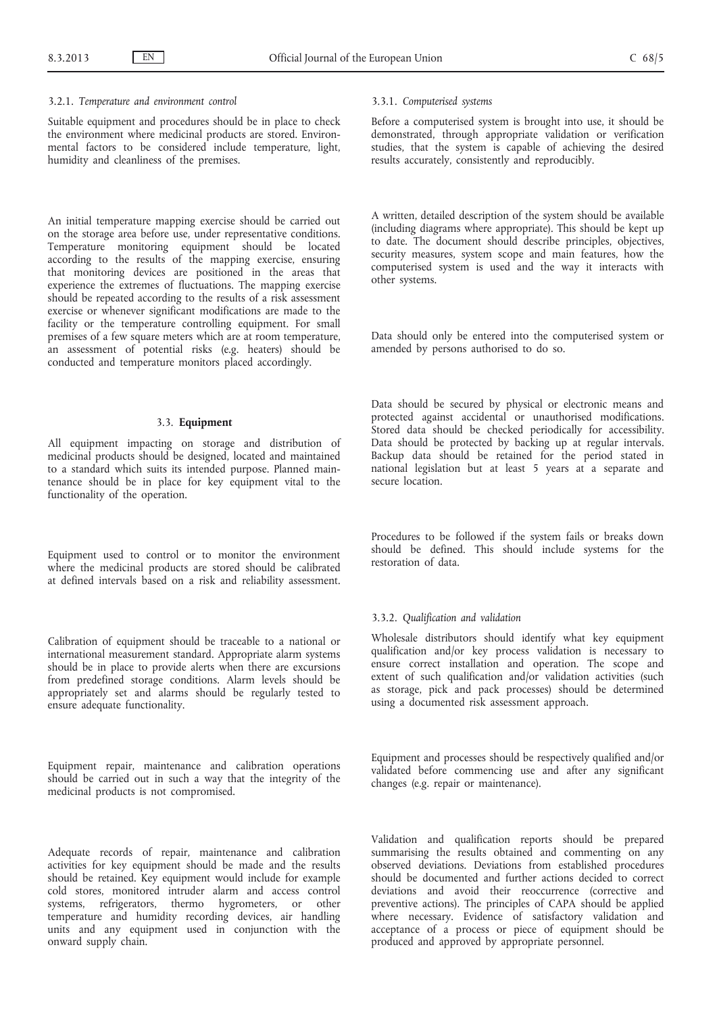#### 3.2.1. *Temperature and environment control*

Suitable equipment and procedures should be in place to check the environment where medicinal products are stored. Environmental factors to be considered include temperature, light, humidity and cleanliness of the premises.

An initial temperature mapping exercise should be carried out on the storage area before use, under representative conditions. Temperature monitoring equipment should be located according to the results of the mapping exercise, ensuring that monitoring devices are positioned in the areas that experience the extremes of fluctuations. The mapping exercise should be repeated according to the results of a risk assessment exercise or whenever significant modifications are made to the facility or the temperature controlling equipment. For small premises of a few square meters which are at room temperature, an assessment of potential risks (e.g. heaters) should be conducted and temperature monitors placed accordingly.

## 3.3. **Equipment**

All equipment impacting on storage and distribution of medicinal products should be designed, located and maintained to a standard which suits its intended purpose. Planned maintenance should be in place for key equipment vital to the functionality of the operation.

Equipment used to control or to monitor the environment where the medicinal products are stored should be calibrated at defined intervals based on a risk and reliability assessment.

Calibration of equipment should be traceable to a national or international measurement standard. Appropriate alarm systems should be in place to provide alerts when there are excursions from predefined storage conditions. Alarm levels should be appropriately set and alarms should be regularly tested to ensure adequate functionality.

Equipment repair, maintenance and calibration operations should be carried out in such a way that the integrity of the medicinal products is not compromised.

Adequate records of repair, maintenance and calibration activities for key equipment should be made and the results should be retained. Key equipment would include for example cold stores, monitored intruder alarm and access control systems, refrigerators, thermo hygrometers, or other temperature and humidity recording devices, air handling units and any equipment used in conjunction with the onward supply chain.

# 3.3.1. *Computerised systems*

Before a computerised system is brought into use, it should be demonstrated, through appropriate validation or verification studies, that the system is capable of achieving the desired results accurately, consistently and reproducibly.

A written, detailed description of the system should be available (including diagrams where appropriate). This should be kept up to date. The document should describe principles, objectives, security measures, system scope and main features, how the computerised system is used and the way it interacts with other systems.

Data should only be entered into the computerised system or amended by persons authorised to do so.

Data should be secured by physical or electronic means and protected against accidental or unauthorised modifications. Stored data should be checked periodically for accessibility. Data should be protected by backing up at regular intervals. Backup data should be retained for the period stated in national legislation but at least 5 years at a separate and secure location.

Procedures to be followed if the system fails or breaks down should be defined. This should include systems for the restoration of data.

# 3.3.2. *Qualification and validation*

Wholesale distributors should identify what key equipment qualification and/or key process validation is necessary to ensure correct installation and operation. The scope and extent of such qualification and/or validation activities (such as storage, pick and pack processes) should be determined using a documented risk assessment approach.

Equipment and processes should be respectively qualified and/or validated before commencing use and after any significant changes (e.g. repair or maintenance).

Validation and qualification reports should be prepared summarising the results obtained and commenting on any observed deviations. Deviations from established procedures should be documented and further actions decided to correct deviations and avoid their reoccurrence (corrective and preventive actions). The principles of CAPA should be applied where necessary. Evidence of satisfactory validation and acceptance of a process or piece of equipment should be produced and approved by appropriate personnel.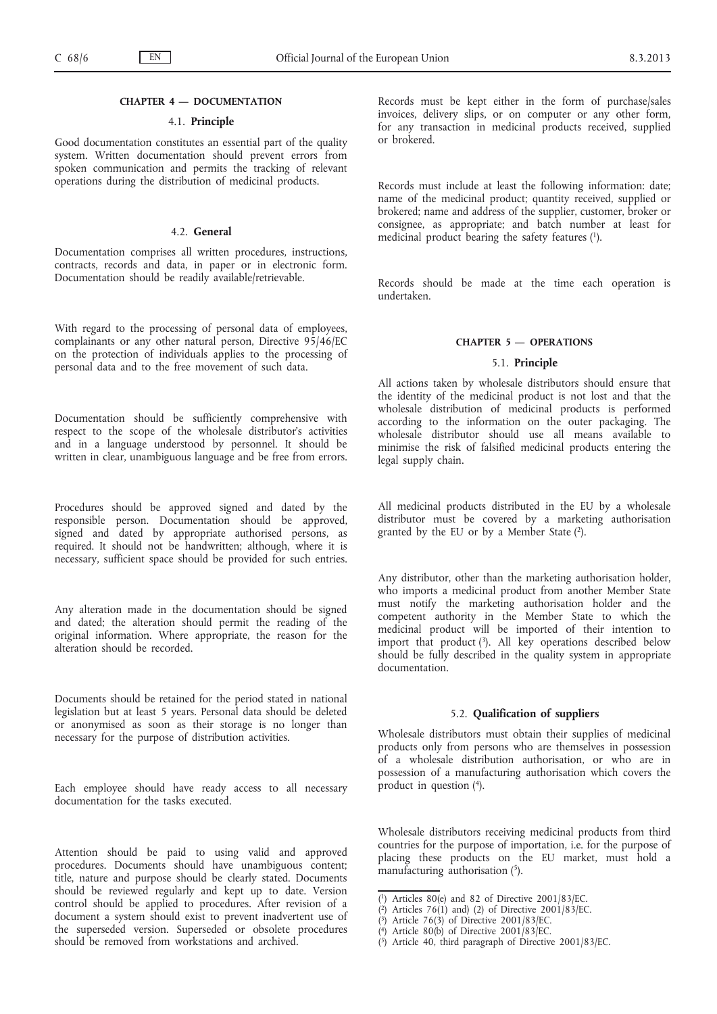#### **CHAPTER 4 — DOCUMENTATION**

#### 4.1. **Principle**

Good documentation constitutes an essential part of the quality system. Written documentation should prevent errors from spoken communication and permits the tracking of relevant operations during the distribution of medicinal products.

# 4.2. **General**

Documentation comprises all written procedures, instructions, contracts, records and data, in paper or in electronic form. Documentation should be readily available/retrievable.

With regard to the processing of personal data of employees, complainants or any other natural person, Directive 95/46/EC on the protection of individuals applies to the processing of personal data and to the free movement of such data.

Documentation should be sufficiently comprehensive with respect to the scope of the wholesale distributor's activities and in a language understood by personnel. It should be written in clear, unambiguous language and be free from errors.

Procedures should be approved signed and dated by the responsible person. Documentation should be approved, signed and dated by appropriate authorised persons, as required. It should not be handwritten; although, where it is necessary, sufficient space should be provided for such entries.

Any alteration made in the documentation should be signed and dated; the alteration should permit the reading of the original information. Where appropriate, the reason for the alteration should be recorded.

Documents should be retained for the period stated in national legislation but at least 5 years. Personal data should be deleted or anonymised as soon as their storage is no longer than necessary for the purpose of distribution activities.

Each employee should have ready access to all necessary documentation for the tasks executed.

Attention should be paid to using valid and approved procedures. Documents should have unambiguous content; title, nature and purpose should be clearly stated. Documents should be reviewed regularly and kept up to date. Version control should be applied to procedures. After revision of a document a system should exist to prevent inadvertent use of the superseded version. Superseded or obsolete procedures should be removed from workstations and archived.

Records must be kept either in the form of purchase/sales invoices, delivery slips, or on computer or any other form, for any transaction in medicinal products received, supplied or brokered.

Records must include at least the following information: date; name of the medicinal product; quantity received, supplied or brokered; name and address of the supplier, customer, broker or consignee, as appropriate; and batch number at least for medicinal product bearing the safety features (1).

Records should be made at the time each operation is undertaken.

# **CHAPTER 5 — OPERATIONS**

## 5.1. **Principle**

All actions taken by wholesale distributors should ensure that the identity of the medicinal product is not lost and that the wholesale distribution of medicinal products is performed according to the information on the outer packaging. The wholesale distributor should use all means available to minimise the risk of falsified medicinal products entering the legal supply chain.

All medicinal products distributed in the EU by a wholesale distributor must be covered by a marketing authorisation granted by the EU or by a Member State  $(2)$ .

Any distributor, other than the marketing authorisation holder, who imports a medicinal product from another Member State must notify the marketing authorisation holder and the competent authority in the Member State to which the medicinal product will be imported of their intention to import that product  $(3)$ . All key operations described below should be fully described in the quality system in appropriate documentation.

# 5.2. **Qualification of suppliers**

Wholesale distributors must obtain their supplies of medicinal products only from persons who are themselves in possession of a wholesale distribution authorisation, or who are in possession of a manufacturing authorisation which covers the product in question  $(4)$ .

Wholesale distributors receiving medicinal products from third countries for the purpose of importation, i.e. for the purpose of placing these products on the EU market, must hold a manufacturing authorisation (5).

<sup>(</sup> 1) Articles 80(e) and 82 of Directive 2001/83/EC.

<sup>(</sup> 2) Articles 76(1) and) (2) of Directive 2001/83/EC.

<sup>(</sup> 3) Article 76(3) of Directive 2001/83/EC.

<sup>(</sup> 4) Article 80(b) of Directive 2001/83/EC.

<sup>(</sup> 5) Article 40, third paragraph of Directive 2001/83/EC.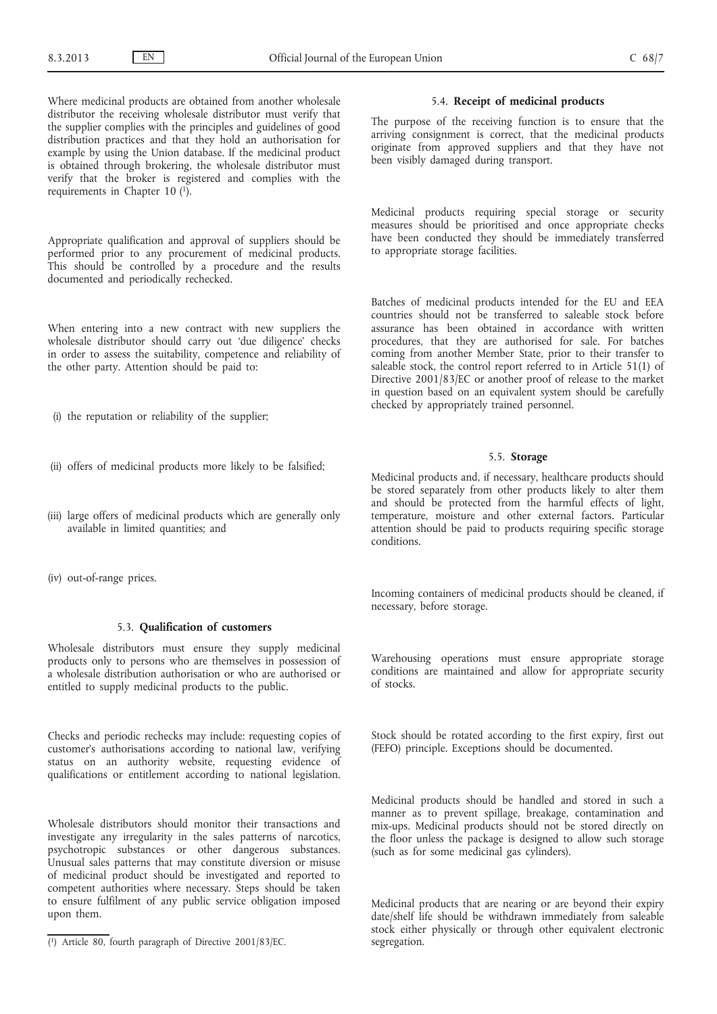Where medicinal products are obtained from another wholesale distributor the receiving wholesale distributor must verify that the supplier complies with the principles and guidelines of good distribution practices and that they hold an authorisation for example by using the Union database. If the medicinal product is obtained through brokering, the wholesale distributor must verify that the broker is registered and complies with the requirements in Chapter 10 $(1)$ .

Appropriate qualification and approval of suppliers should be performed prior to any procurement of medicinal products. This should be controlled by a procedure and the results documented and periodically rechecked.

When entering into a new contract with new suppliers the wholesale distributor should carry out 'due diligence' checks in order to assess the suitability, competence and reliability of the other party. Attention should be paid to:

- (i) the reputation or reliability of the supplier;
- (ii) offers of medicinal products more likely to be falsified;
- (iii) large offers of medicinal products which are generally only available in limited quantities; and
- (iv) out-of-range prices.

#### 5.3. **Qualification of customers**

Wholesale distributors must ensure they supply medicinal products only to persons who are themselves in possession of a wholesale distribution authorisation or who are authorised or entitled to supply medicinal products to the public.

Checks and periodic rechecks may include: requesting copies of customer's authorisations according to national law, verifying status on an authority website, requesting evidence of qualifications or entitlement according to national legislation.

Wholesale distributors should monitor their transactions and investigate any irregularity in the sales patterns of narcotics, psychotropic substances or other dangerous substances. Unusual sales patterns that may constitute diversion or misuse of medicinal product should be investigated and reported to competent authorities where necessary. Steps should be taken to ensure fulfilment of any public service obligation imposed upon them.

#### 5.4. **Receipt of medicinal products**

The purpose of the receiving function is to ensure that the arriving consignment is correct, that the medicinal products originate from approved suppliers and that they have not been visibly damaged during transport.

Medicinal products requiring special storage or security measures should be prioritised and once appropriate checks have been conducted they should be immediately transferred to appropriate storage facilities.

Batches of medicinal products intended for the EU and EEA countries should not be transferred to saleable stock before assurance has been obtained in accordance with written procedures, that they are authorised for sale. For batches coming from another Member State, prior to their transfer to saleable stock, the control report referred to in Article 51(1) of Directive 2001/83/EC or another proof of release to the market in question based on an equivalent system should be carefully checked by appropriately trained personnel.

# 5.5. **Storage**

Medicinal products and, if necessary, healthcare products should be stored separately from other products likely to alter them and should be protected from the harmful effects of light, temperature, moisture and other external factors. Particular attention should be paid to products requiring specific storage conditions.

Incoming containers of medicinal products should be cleaned, if necessary, before storage.

Warehousing operations must ensure appropriate storage conditions are maintained and allow for appropriate security of stocks.

Stock should be rotated according to the first expiry, first out (FEFO) principle. Exceptions should be documented.

Medicinal products should be handled and stored in such a manner as to prevent spillage, breakage, contamination and mix-ups. Medicinal products should not be stored directly on the floor unless the package is designed to allow such storage (such as for some medicinal gas cylinders).

Medicinal products that are nearing or are beyond their expiry date/shelf life should be withdrawn immediately from saleable stock either physically or through other equivalent electronic segregation.

<sup>(</sup> 1) Article 80, fourth paragraph of Directive 2001/83/EC.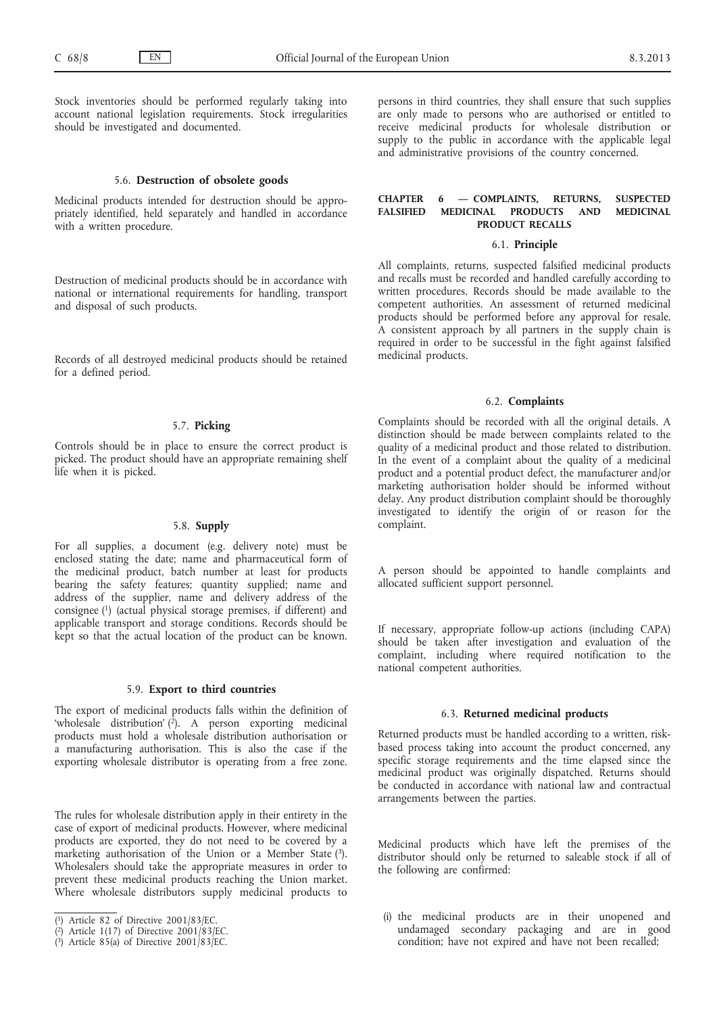Stock inventories should be performed regularly taking into account national legislation requirements. Stock irregularities should be investigated and documented.

## 5.6. **Destruction of obsolete goods**

Medicinal products intended for destruction should be appropriately identified, held separately and handled in accordance with a written procedure.

Destruction of medicinal products should be in accordance with national or international requirements for handling, transport and disposal of such products.

Records of all destroyed medicinal products should be retained for a defined period.

# 5.7. **Picking**

Controls should be in place to ensure the correct product is picked. The product should have an appropriate remaining shelf life when it is picked.

# 5.8. **Supply**

For all supplies, a document (e.g. delivery note) must be enclosed stating the date; name and pharmaceutical form of the medicinal product, batch number at least for products bearing the safety features; quantity supplied; name and address of the supplier, name and delivery address of the consignee (1) (actual physical storage premises, if different) and applicable transport and storage conditions. Records should be kept so that the actual location of the product can be known.

#### 5.9. **Export to third countries**

The export of medicinal products falls within the definition of 'wholesale distribution'  $(\overline{2})$ . A person exporting medicinal products must hold a wholesale distribution authorisation or a manufacturing authorisation. This is also the case if the exporting wholesale distributor is operating from a free zone.

The rules for wholesale distribution apply in their entirety in the case of export of medicinal products. However, where medicinal products are exported, they do not need to be covered by a marketing authorisation of the Union or a Member State (3). Wholesalers should take the appropriate measures in order to prevent these medicinal products reaching the Union market. Where wholesale distributors supply medicinal products to

persons in third countries, they shall ensure that such supplies are only made to persons who are authorised or entitled to receive medicinal products for wholesale distribution or supply to the public in accordance with the applicable legal and administrative provisions of the country concerned.

#### **CHAPTER 6 — COMPLAINTS, RETURNS, SUSPECTED FALSIFIED MEDICINAL PRODUCTS AND MEDICINAL PRODUCT RECALLS**

# 6.1. **Principle**

All complaints, returns, suspected falsified medicinal products and recalls must be recorded and handled carefully according to written procedures. Records should be made available to the competent authorities. An assessment of returned medicinal products should be performed before any approval for resale. A consistent approach by all partners in the supply chain is required in order to be successful in the fight against falsified medicinal products.

# 6.2. **Complaints**

Complaints should be recorded with all the original details. A distinction should be made between complaints related to the quality of a medicinal product and those related to distribution. In the event of a complaint about the quality of a medicinal product and a potential product defect, the manufacturer and/or marketing authorisation holder should be informed without delay. Any product distribution complaint should be thoroughly investigated to identify the origin of or reason for the complaint.

A person should be appointed to handle complaints and allocated sufficient support personnel.

If necessary, appropriate follow-up actions (including CAPA) should be taken after investigation and evaluation of the complaint, including where required notification to the national competent authorities.

# 6.3. **Returned medicinal products**

Returned products must be handled according to a written, riskbased process taking into account the product concerned, any specific storage requirements and the time elapsed since the medicinal product was originally dispatched. Returns should be conducted in accordance with national law and contractual arrangements between the parties.

Medicinal products which have left the premises of the distributor should only be returned to saleable stock if all of the following are confirmed:

(i) the medicinal products are in their unopened and undamaged secondary packaging and are in good condition; have not expired and have not been recalled;

 $(1)$ Article 82 of Directive 2001/83/EC.

<sup>(</sup> 2) Article 1(17) of Directive 2001/83/EC.

<sup>(</sup> 3) Article 85(a) of Directive 2001/83/EC.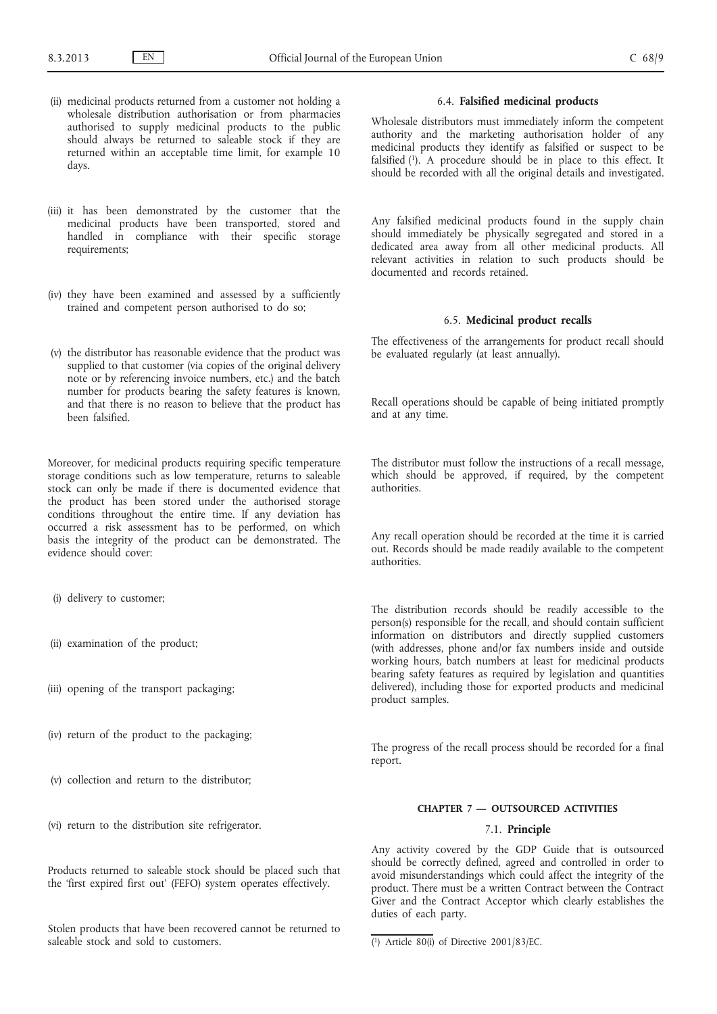- (ii) medicinal products returned from a customer not holding a wholesale distribution authorisation or from pharmacies authorised to supply medicinal products to the public should always be returned to saleable stock if they are returned within an acceptable time limit, for example 10 days.
- (iii) it has been demonstrated by the customer that the medicinal products have been transported, stored and handled in compliance with their specific storage requirements;
- (iv) they have been examined and assessed by a sufficiently trained and competent person authorised to do so;
- (v) the distributor has reasonable evidence that the product was supplied to that customer (via copies of the original delivery note or by referencing invoice numbers, etc.) and the batch number for products bearing the safety features is known, and that there is no reason to believe that the product has been falsified.

Moreover, for medicinal products requiring specific temperature storage conditions such as low temperature, returns to saleable stock can only be made if there is documented evidence that the product has been stored under the authorised storage conditions throughout the entire time. If any deviation has occurred a risk assessment has to be performed, on which basis the integrity of the product can be demonstrated. The evidence should cover:

- (i) delivery to customer;
- (ii) examination of the product;
- (iii) opening of the transport packaging;
- (iv) return of the product to the packaging;
- (v) collection and return to the distributor;
- (vi) return to the distribution site refrigerator.

Products returned to saleable stock should be placed such that the 'first expired first out' (FEFO) system operates effectively.

Stolen products that have been recovered cannot be returned to saleable stock and sold to customers.

# 6.4. **Falsified medicinal products**

Wholesale distributors must immediately inform the competent authority and the marketing authorisation holder of any medicinal products they identify as falsified or suspect to be falsified (1). A procedure should be in place to this effect. It should be recorded with all the original details and investigated.

Any falsified medicinal products found in the supply chain should immediately be physically segregated and stored in a dedicated area away from all other medicinal products. All relevant activities in relation to such products should be documented and records retained.

#### 6.5. **Medicinal product recalls**

The effectiveness of the arrangements for product recall should be evaluated regularly (at least annually).

Recall operations should be capable of being initiated promptly and at any time.

The distributor must follow the instructions of a recall message, which should be approved, if required, by the competent authorities.

Any recall operation should be recorded at the time it is carried out. Records should be made readily available to the competent authorities.

The distribution records should be readily accessible to the person(s) responsible for the recall, and should contain sufficient information on distributors and directly supplied customers (with addresses, phone and/or fax numbers inside and outside working hours, batch numbers at least for medicinal products bearing safety features as required by legislation and quantities delivered), including those for exported products and medicinal product samples.

The progress of the recall process should be recorded for a final report.

# **CHAPTER 7 — OUTSOURCED ACTIVITIES**

## 7.1. **Principle**

Any activity covered by the GDP Guide that is outsourced should be correctly defined, agreed and controlled in order to avoid misunderstandings which could affect the integrity of the product. There must be a written Contract between the Contract Giver and the Contract Acceptor which clearly establishes the duties of each party.

<sup>(</sup> 1) Article 80(i) of Directive 2001/83/EC.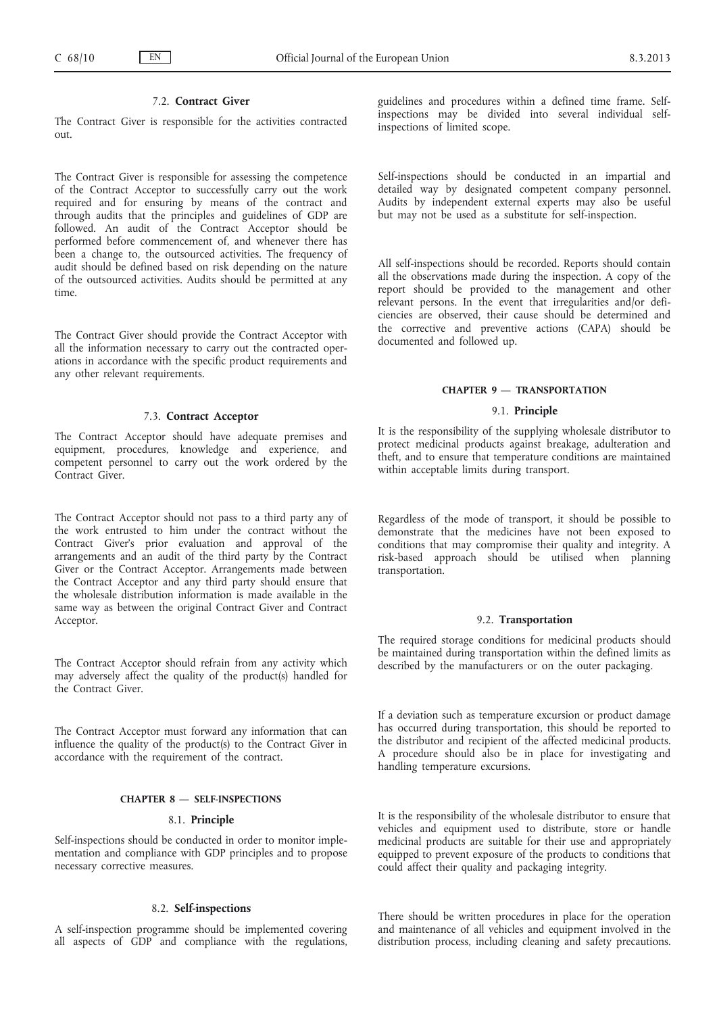#### 7.2. **Contract Giver**

The Contract Giver is responsible for the activities contracted out.

The Contract Giver is responsible for assessing the competence of the Contract Acceptor to successfully carry out the work required and for ensuring by means of the contract and through audits that the principles and guidelines of GDP are followed. An audit of the Contract Acceptor should be performed before commencement of, and whenever there has been a change to, the outsourced activities. The frequency of audit should be defined based on risk depending on the nature of the outsourced activities. Audits should be permitted at any time.

The Contract Giver should provide the Contract Acceptor with all the information necessary to carry out the contracted operations in accordance with the specific product requirements and any other relevant requirements.

# 7.3. **Contract Acceptor**

The Contract Acceptor should have adequate premises and equipment, procedures, knowledge and experience, and competent personnel to carry out the work ordered by the Contract Giver.

The Contract Acceptor should not pass to a third party any of the work entrusted to him under the contract without the Contract Giver's prior evaluation and approval of the arrangements and an audit of the third party by the Contract Giver or the Contract Acceptor. Arrangements made between the Contract Acceptor and any third party should ensure that the wholesale distribution information is made available in the same way as between the original Contract Giver and Contract Acceptor.

The Contract Acceptor should refrain from any activity which may adversely affect the quality of the product(s) handled for the Contract Giver.

The Contract Acceptor must forward any information that can influence the quality of the product(s) to the Contract Giver in accordance with the requirement of the contract.

# **CHAPTER 8 — SELF-INSPECTIONS**

#### 8.1. **Principle**

Self-inspections should be conducted in order to monitor implementation and compliance with GDP principles and to propose necessary corrective measures.

# 8.2. **Self-inspections**

A self-inspection programme should be implemented covering all aspects of GDP and compliance with the regulations,

guidelines and procedures within a defined time frame. Selfinspections may be divided into several individual selfinspections of limited scope.

Self-inspections should be conducted in an impartial and detailed way by designated competent company personnel. Audits by independent external experts may also be useful but may not be used as a substitute for self-inspection.

All self-inspections should be recorded. Reports should contain all the observations made during the inspection. A copy of the report should be provided to the management and other relevant persons. In the event that irregularities and/or deficiencies are observed, their cause should be determined and the corrective and preventive actions (CAPA) should be documented and followed up.

# **CHAPTER 9 — TRANSPORTATION**

# 9.1. **Principle**

It is the responsibility of the supplying wholesale distributor to protect medicinal products against breakage, adulteration and theft, and to ensure that temperature conditions are maintained within acceptable limits during transport.

Regardless of the mode of transport, it should be possible to demonstrate that the medicines have not been exposed to conditions that may compromise their quality and integrity. A risk-based approach should be utilised when planning transportation.

#### 9.2. **Transportation**

The required storage conditions for medicinal products should be maintained during transportation within the defined limits as described by the manufacturers or on the outer packaging.

If a deviation such as temperature excursion or product damage has occurred during transportation, this should be reported to the distributor and recipient of the affected medicinal products. A procedure should also be in place for investigating and handling temperature excursions.

It is the responsibility of the wholesale distributor to ensure that vehicles and equipment used to distribute, store or handle medicinal products are suitable for their use and appropriately equipped to prevent exposure of the products to conditions that could affect their quality and packaging integrity.

There should be written procedures in place for the operation and maintenance of all vehicles and equipment involved in the distribution process, including cleaning and safety precautions.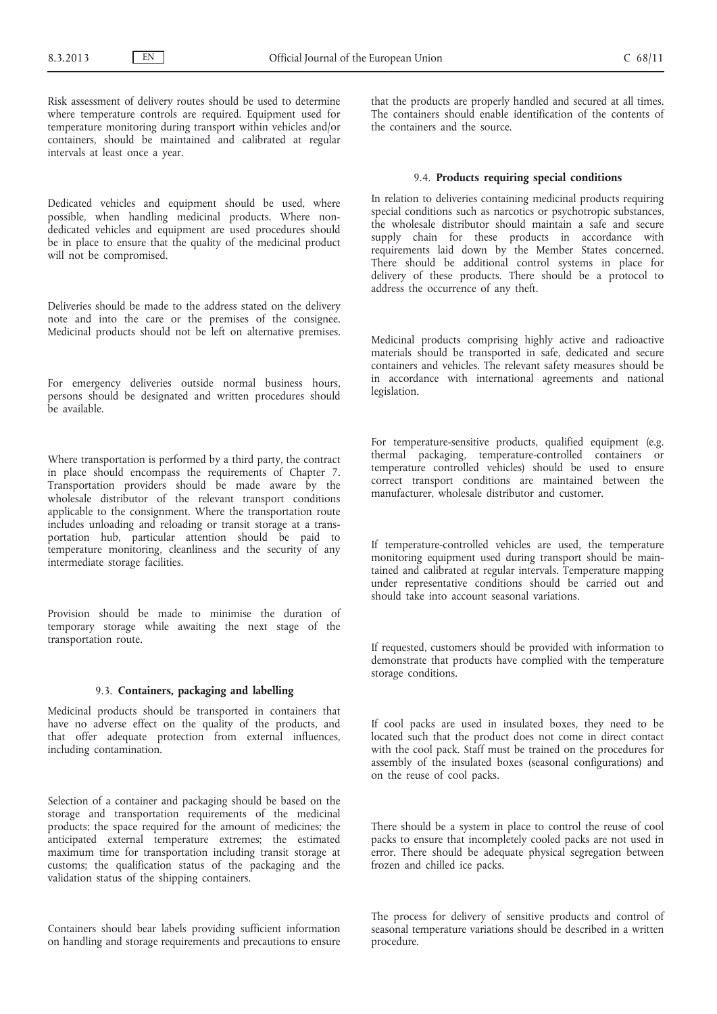Risk assessment of delivery routes should be used to determine where temperature controls are required. Equipment used for temperature monitoring during transport within vehicles and/or containers, should be maintained and calibrated at regular intervals at least once a year.

Dedicated vehicles and equipment should be used, where possible, when handling medicinal products. Where nondedicated vehicles and equipment are used procedures should be in place to ensure that the quality of the medicinal product will not be compromised.

Deliveries should be made to the address stated on the delivery note and into the care or the premises of the consignee. Medicinal products should not be left on alternative premises.

For emergency deliveries outside normal business hours, persons should be designated and written procedures should be available.

Where transportation is performed by a third party, the contract in place should encompass the requirements of Chapter 7. Transportation providers should be made aware by the wholesale distributor of the relevant transport conditions applicable to the consignment. Where the transportation route includes unloading and reloading or transit storage at a transportation hub, particular attention should be paid to temperature monitoring, cleanliness and the security of any intermediate storage facilities.

Provision should be made to minimise the duration of temporary storage while awaiting the next stage of the transportation route.

# 9.3. **Containers, packaging and labelling**

Medicinal products should be transported in containers that have no adverse effect on the quality of the products, and that offer adequate protection from external influences, including contamination.

Selection of a container and packaging should be based on the storage and transportation requirements of the medicinal products; the space required for the amount of medicines; the anticipated external temperature extremes; the estimated maximum time for transportation including transit storage at customs; the qualification status of the packaging and the validation status of the shipping containers.

Containers should bear labels providing sufficient information on handling and storage requirements and precautions to ensure that the products are properly handled and secured at all times. The containers should enable identification of the contents of the containers and the source.

# 9.4. **Products requiring special conditions**

In relation to deliveries containing medicinal products requiring special conditions such as narcotics or psychotropic substances, the wholesale distributor should maintain a safe and secure supply chain for these products in accordance with requirements laid down by the Member States concerned. There should be additional control systems in place for delivery of these products. There should be a protocol to address the occurrence of any theft.

Medicinal products comprising highly active and radioactive materials should be transported in safe, dedicated and secure containers and vehicles. The relevant safety measures should be in accordance with international agreements and national legislation.

For temperature-sensitive products, qualified equipment (e.g. thermal packaging, temperature-controlled containers or temperature controlled vehicles) should be used to ensure correct transport conditions are maintained between the manufacturer, wholesale distributor and customer.

If temperature-controlled vehicles are used, the temperature monitoring equipment used during transport should be maintained and calibrated at regular intervals. Temperature mapping under representative conditions should be carried out and should take into account seasonal variations.

If requested, customers should be provided with information to demonstrate that products have complied with the temperature storage conditions.

If cool packs are used in insulated boxes, they need to be located such that the product does not come in direct contact with the cool pack. Staff must be trained on the procedures for assembly of the insulated boxes (seasonal configurations) and on the reuse of cool packs.

There should be a system in place to control the reuse of cool packs to ensure that incompletely cooled packs are not used in error. There should be adequate physical segregation between frozen and chilled ice packs.

The process for delivery of sensitive products and control of seasonal temperature variations should be described in a written procedure.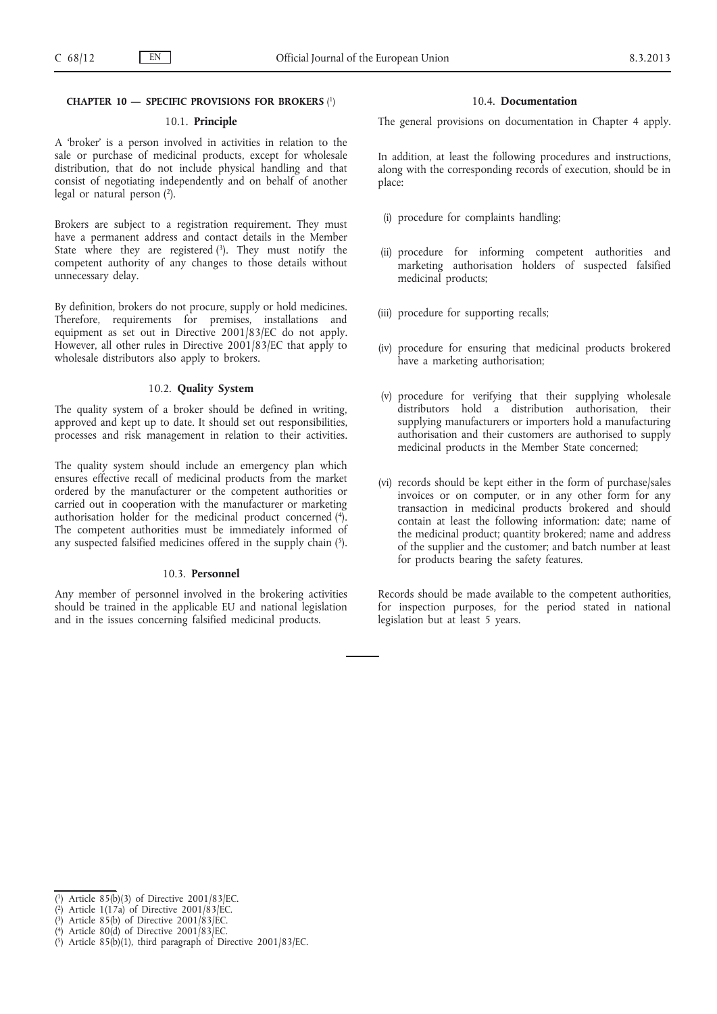#### **CHAPTER 10 — SPECIFIC PROVISIONS FOR BROKERS** (1)

#### 10.1. **Principle**

A 'broker' is a person involved in activities in relation to the sale or purchase of medicinal products, except for wholesale distribution, that do not include physical handling and that consist of negotiating independently and on behalf of another legal or natural person (2).

Brokers are subject to a registration requirement. They must have a permanent address and contact details in the Member State where they are registered  $(3)$ . They must notify the competent authority of any changes to those details without unnecessary delay.

By definition, brokers do not procure, supply or hold medicines. Therefore, requirements for premises, installations and equipment as set out in Directive 2001/83/EC do not apply. However, all other rules in Directive 2001/83/EC that apply to wholesale distributors also apply to brokers.

# 10.2. **Quality System**

The quality system of a broker should be defined in writing, approved and kept up to date. It should set out responsibilities, processes and risk management in relation to their activities.

The quality system should include an emergency plan which ensures effective recall of medicinal products from the market ordered by the manufacturer or the competent authorities or carried out in cooperation with the manufacturer or marketing authorisation holder for the medicinal product concerned (4). The competent authorities must be immediately informed of any suspected falsified medicines offered in the supply chain  $(5)$ .

#### 10.3. **Personnel**

Any member of personnel involved in the brokering activities should be trained in the applicable EU and national legislation and in the issues concerning falsified medicinal products.

#### 10.4. **Documentation**

The general provisions on documentation in Chapter 4 apply.

In addition, at least the following procedures and instructions, along with the corresponding records of execution, should be in place:

- (i) procedure for complaints handling;
- (ii) procedure for informing competent authorities and marketing authorisation holders of suspected falsified medicinal products;
- (iii) procedure for supporting recalls;
- (iv) procedure for ensuring that medicinal products brokered have a marketing authorisation;
- (v) procedure for verifying that their supplying wholesale distributors hold a distribution authorisation, their supplying manufacturers or importers hold a manufacturing authorisation and their customers are authorised to supply medicinal products in the Member State concerned;
- (vi) records should be kept either in the form of purchase/sales invoices or on computer, or in any other form for any transaction in medicinal products brokered and should contain at least the following information: date; name of the medicinal product; quantity brokered; name and address of the supplier and the customer; and batch number at least for products bearing the safety features.

Records should be made available to the competent authorities, for inspection purposes, for the period stated in national legislation but at least 5 years.

( 4) Article 80(d) of Directive 2001/83/EC.

<sup>(</sup> 1) Article 85(b)(3) of Directive 2001/83/EC.

<sup>(</sup> 2) Article 1(17a) of Directive 2001/83/EC.

<sup>(</sup> 3) Article 85(b) of Directive 2001/83/EC.

<sup>(</sup> 5) Article 85(b)(1), third paragraph of Directive 2001/83/EC.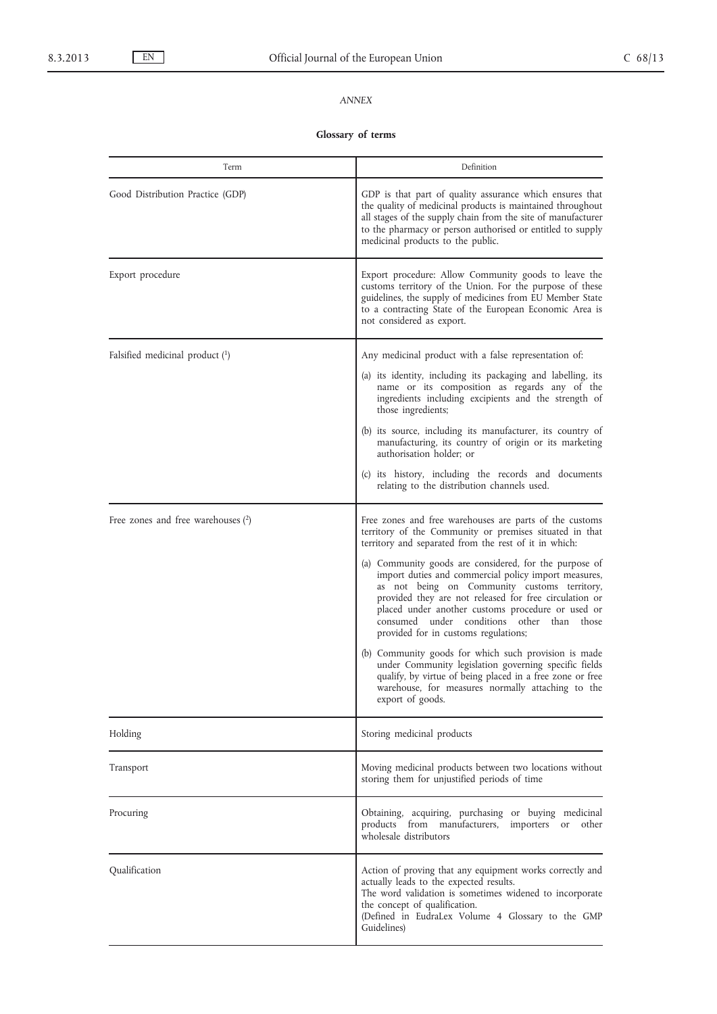# *ANNEX*

**Glossary of terms**

| Term                                 | Definition                                                                                                                                                                                                                                                                                                                                                                                                                                                                                                                                                                                                                                                                                                                                                                                                |
|--------------------------------------|-----------------------------------------------------------------------------------------------------------------------------------------------------------------------------------------------------------------------------------------------------------------------------------------------------------------------------------------------------------------------------------------------------------------------------------------------------------------------------------------------------------------------------------------------------------------------------------------------------------------------------------------------------------------------------------------------------------------------------------------------------------------------------------------------------------|
| Good Distribution Practice (GDP)     | GDP is that part of quality assurance which ensures that<br>the quality of medicinal products is maintained throughout<br>all stages of the supply chain from the site of manufacturer<br>to the pharmacy or person authorised or entitled to supply<br>medicinal products to the public.                                                                                                                                                                                                                                                                                                                                                                                                                                                                                                                 |
| Export procedure                     | Export procedure: Allow Community goods to leave the<br>customs territory of the Union. For the purpose of these<br>guidelines, the supply of medicines from EU Member State<br>to a contracting State of the European Economic Area is<br>not considered as export.                                                                                                                                                                                                                                                                                                                                                                                                                                                                                                                                      |
| Falsified medicinal product (1)      | Any medicinal product with a false representation of:<br>(a) its identity, including its packaging and labelling, its<br>name or its composition as regards any of the<br>ingredients including excipients and the strength of<br>those ingredients;<br>(b) its source, including its manufacturer, its country of<br>manufacturing, its country of origin or its marketing<br>authorisation holder; or<br>(c) its history, including the records and documents<br>relating to the distribution channels used.                                                                                                                                                                                                                                                                                            |
| Free zones and free warehouses $(2)$ | Free zones and free warehouses are parts of the customs<br>territory of the Community or premises situated in that<br>territory and separated from the rest of it in which:<br>(a) Community goods are considered, for the purpose of<br>import duties and commercial policy import measures,<br>as not being on Community customs territory,<br>provided they are not released for free circulation or<br>placed under another customs procedure or used or<br>consumed under conditions other than those<br>provided for in customs regulations;<br>(b) Community goods for which such provision is made<br>under Community legislation governing specific fields<br>qualify, by virtue of being placed in a free zone or free<br>warehouse, for measures normally attaching to the<br>export of goods. |
| Holding                              | Storing medicinal products                                                                                                                                                                                                                                                                                                                                                                                                                                                                                                                                                                                                                                                                                                                                                                                |
| Transport                            | Moving medicinal products between two locations without<br>storing them for unjustified periods of time                                                                                                                                                                                                                                                                                                                                                                                                                                                                                                                                                                                                                                                                                                   |
| Procuring                            | Obtaining, acquiring, purchasing or buying medicinal<br>products from manufacturers, importers or<br>other<br>wholesale distributors                                                                                                                                                                                                                                                                                                                                                                                                                                                                                                                                                                                                                                                                      |
| Qualification                        | Action of proving that any equipment works correctly and<br>actually leads to the expected results.<br>The word validation is sometimes widened to incorporate<br>the concept of qualification.<br>(Defined in EudraLex Volume 4 Glossary to the GMP<br>Guidelines)                                                                                                                                                                                                                                                                                                                                                                                                                                                                                                                                       |